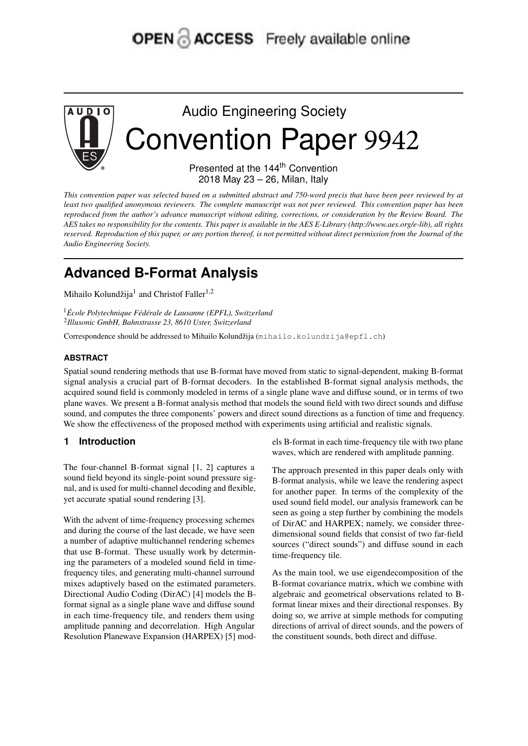# OPEN & ACCESS Freely available online



Audio Engineering Society Convention Paper 9942

> Presented at the 144<sup>th</sup> Convention 2018 May 23 – 26, Milan, Italy

This convention paper was selected based on a submitted abstract and 750-word precis that have been peer reviewed by at least two qualified anonymous reviewers. The complete manuscript was not peer reviewed. This convention paper has been reproduced from the author's advance manuscript without editing, corrections, or consideration by the Review Board. The AES takes no responsibility for the contents. This paper is available in the AES E-Library (http://www.aes.org/e-lib), all rights reserved. Reproduction of this paper, or any portion thereof, is not permitted without direct permission from the Journal of the *Audio Engineering Society.*

# **Advanced B-Format Analysis**

Mihailo Kolundžija<sup>1</sup> and Christof Faller<sup>1,2</sup>

<sup>1</sup>*École Polytechnique Fédérale de Lausanne (EPFL), Switzerland* 2 *Illusonic GmbH, Bahnstrasse 23, 8610 Uster, Switzerland*

Correspondence should be addressed to Mihailo Kolundžija (mihailo.kolundzija@epfl.ch)

# **ABSTRACT**

Spatial sound rendering methods that use B-format have moved from static to signal-dependent, making B-format signal analysis a crucial part of B-format decoders. In the established B-format signal analysis methods, the acquired sound field is commonly modeled in terms of a single plane wave and diffuse sound, or in terms of two plane waves. We present a B-format analysis method that models the sound field with two direct sounds and diffuse sound, and computes the three components' powers and direct sound directions as a function of time and frequency. We show the effectiveness of the proposed method with experiments using artificial and realistic signals.

# **1 Introduction**

The four-channel B-format signal [1, 2] captures a sound field beyond its single-point sound pressure signal, and is used for multi-channel decoding and flexible, yet accurate spatial sound rendering [3].

With the advent of time-frequency processing schemes and during the course of the last decade, we have seen a number of adaptive multichannel rendering schemes that use B-format. These usually work by determining the parameters of a modeled sound field in timefrequency tiles, and generating multi-channel surround mixes adaptively based on the estimated parameters. Directional Audio Coding (DirAC) [4] models the Bformat signal as a single plane wave and diffuse sound in each time-frequency tile, and renders them using amplitude panning and decorrelation. High Angular Resolution Planewave Expansion (HARPEX) [5] mod-

els B-format in each time-frequency tile with two plane waves, which are rendered with amplitude panning.

The approach presented in this paper deals only with B-format analysis, while we leave the rendering aspect for another paper. In terms of the complexity of the used sound field model, our analysis framework can be seen as going a step further by combining the models of DirAC and HARPEX; namely, we consider threedimensional sound fields that consist of two far-field sources ("direct sounds") and diffuse sound in each time-frequency tile.

As the main tool, we use eigendecomposition of the B-format covariance matrix, which we combine with algebraic and geometrical observations related to Bformat linear mixes and their directional responses. By doing so, we arrive at simple methods for computing directions of arrival of direct sounds, and the powers of the constituent sounds, both direct and diffuse.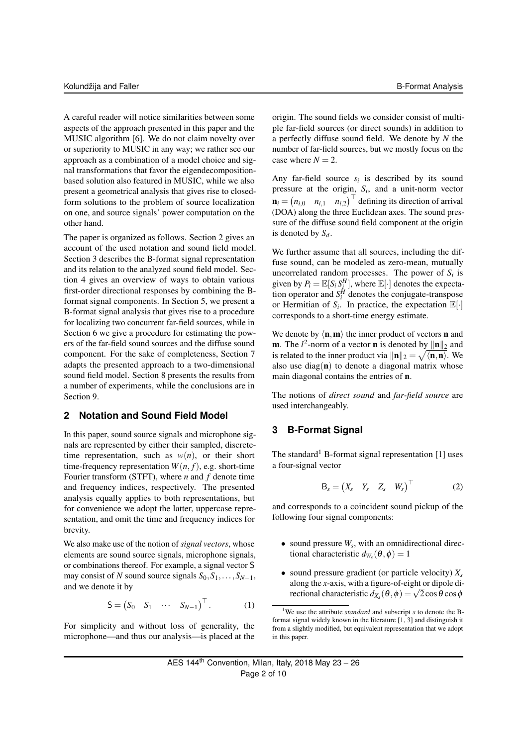A careful reader will notice similarities between some aspects of the approach presented in this paper and the MUSIC algorithm [6]. We do not claim novelty over or superiority to MUSIC in any way; we rather see our approach as a combination of a model choice and signal transformations that favor the eigendecompositionbased solution also featured in MUSIC, while we also present a geometrical analysis that gives rise to closedform solutions to the problem of source localization on one, and source signals' power computation on the other hand.

The paper is organized as follows. Section 2 gives an account of the used notation and sound field model. Section 3 describes the B-format signal representation and its relation to the analyzed sound field model. Section 4 gives an overview of ways to obtain various first-order directional responses by combining the Bformat signal components. In Section 5, we present a B-format signal analysis that gives rise to a procedure for localizing two concurrent far-field sources, while in Section 6 we give a procedure for estimating the powers of the far-field sound sources and the diffuse sound component. For the sake of completeness, Section 7 adapts the presented approach to a two-dimensional sound field model. Section 8 presents the results from a number of experiments, while the conclusions are in Section 9.

# **2 Notation and Sound Field Model**

In this paper, sound source signals and microphone signals are represented by either their sampled, discretetime representation, such as  $w(n)$ , or their short time-frequency representation  $W(n, f)$ , e.g. short-time Fourier transform (STFT), where *n* and *f* denote time and frequency indices, respectively. The presented analysis equally applies to both representations, but for convenience we adopt the latter, uppercase representation, and omit the time and frequency indices for brevity.

We also make use of the notion of *signal vectors*, whose elements are sound source signals, microphone signals, or combinations thereof. For example, a signal vector S may consist of *N* sound source signals  $S_0, S_1, \ldots, S_{N-1}$ , and we denote it by

$$
\mathsf{S} = \begin{pmatrix} S_0 & S_1 & \cdots & S_{N-1} \end{pmatrix}^\top. \tag{1}
$$

For simplicity and without loss of generality, the microphone—and thus our analysis—is placed at the

origin. The sound fields we consider consist of multiple far-field sources (or direct sounds) in addition to a perfectly diffuse sound field. We denote by *N* the number of far-field sources, but we mostly focus on the case where  $N = 2$ .

Any far-field source  $s_i$  is described by its sound pressure at the origin,  $S_i$ , and a unit-norm vector  $\mathbf{n}_i = (n_{i,0} \quad n_{i,1} \quad n_{i,2})^\top$  defining its direction of arrival (DOA) along the three Euclidean axes. The sound pressure of the diffuse sound field component at the origin is denoted by *Sd*.

We further assume that all sources, including the diffuse sound, can be modeled as zero-mean, mutually uncorrelated random processes. The power of  $S_i$  is given by  $P_i = \mathbb{E}[S_i S_i^H]$ , where  $\mathbb{E}[\cdot]$  denotes the expectation operator and  $S_i^H$  denotes the conjugate-transpose or Hermitian of  $S_i$ . In practice, the expectation  $\mathbb{E}[\cdot]$ corresponds to a short-time energy estimate.

We denote by  $\langle \mathbf{n},\mathbf{m}\rangle$  the inner product of vectors **n** and **m**. The  $l^2$ -norm of a vector **n** is denoted by  $\|\mathbf{n}\|_2$  and is related to the inner product via  $\|\mathbf{n}\|_2 = \sqrt{\langle \mathbf{n}, \mathbf{n} \rangle}$ . We also use diag $(n)$  to denote a diagonal matrix whose main diagonal contains the entries of n.

The notions of *direct sound* and *far-field source* are used interchangeably.

# **3 B-Format Signal**

The standard<sup>1</sup> B-format signal representation [1] uses a four-signal vector

$$
\mathsf{B}_s = \begin{pmatrix} X_s & Y_s & Z_s & W_s \end{pmatrix}^\top \tag{2}
$$

and corresponds to a coincident sound pickup of the following four signal components:

- sound pressure *W<sup>s</sup>* , with an omnidirectional directional characteristic  $d_{W_s}(\theta, \phi) = 1$
- sound pressure gradient (or particle velocity) *X<sup>s</sup>* along the *x*-axis, with a figure-of-eight or dipole dialong the *x*-axis, with a ngure-of-eight or dipole different characteristic  $d_{X_s}(\theta, \phi) = \sqrt{2} \cos \theta \cos \phi$

<sup>1</sup>We use the attribute *standard* and subscript *s* to denote the Bformat signal widely known in the literature [1, 3] and distinguish it from a slightly modified, but equivalent representation that we adopt in this paper.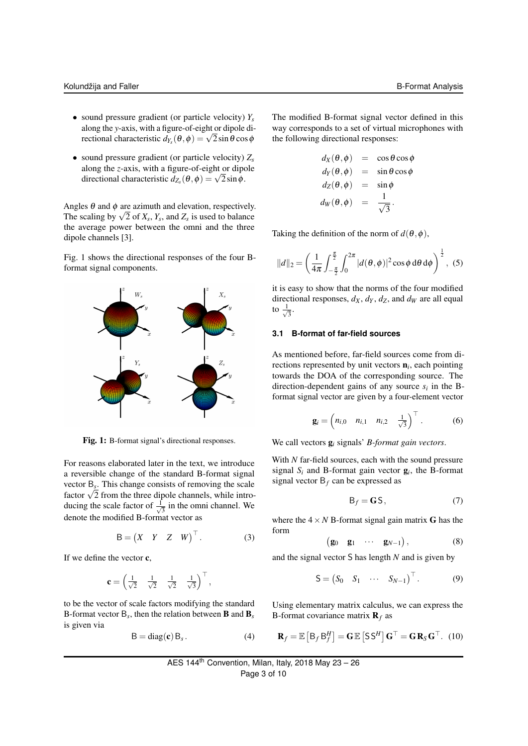- sound pressure gradient (or particle velocity) *Y<sup>s</sup>* along the *y*-axis, with a figure-of-eight or dipole dialong the y-axis, with a figure-of-eight or dipole diversional characteristic  $d_{Y_s}(\theta, \phi) = \sqrt{2} \sin \theta \cos \phi$
- sound pressure gradient (or particle velocity) *Z<sup>s</sup>* along the *z*-axis, with a figure-of-eight or dipole along the *z*-axis, with a ngure-or-eight or diper-<br>directional characteristic  $d_{Z_s}(\theta, \phi) = \sqrt{2} \sin \phi$ .

Angles  $\theta$  and  $\phi$  are azimuth and elevation, respectively. Angles  $\theta$  and  $\phi$  are azimuth and elevation, respectively<br>The scaling by  $\sqrt{2}$  of  $X_s$ ,  $Y_s$ , and  $Z_s$  is used to balance the average power between the omni and the three dipole channels [3].

Fig. 1 shows the directional responses of the four Bformat signal components.



Fig. 1: B-format signal's directional responses.

For reasons elaborated later in the text, we introduce a reversible change of the standard B-format signal vector B*<sup>s</sup>* . This change consists of removing the scale vector  $B_s$ . This change consists of removing the scale factor  $\sqrt{2}$  from the three dipole channels, while introducing the scale factor of  $\frac{1}{\sqrt{2}}$  $\frac{1}{3}$  in the omni channel. We denote the modified B-format vector as

$$
\mathsf{B} = \begin{pmatrix} X & Y & Z & W \end{pmatrix}^\top. \tag{3}
$$

If we define the vector c,

$$
\mathbf{c} = \begin{pmatrix} \frac{1}{\sqrt{2}} & \frac{1}{\sqrt{2}} & \frac{1}{\sqrt{2}} & \frac{1}{\sqrt{3}} \end{pmatrix}^\top,
$$

to be the vector of scale factors modifying the standard B-format vector B*<sup>s</sup>* , then the relation between B and B*<sup>s</sup>* is given via

$$
B = diag(c) Bs. \t(4)
$$

The modified B-format signal vector defined in this way corresponds to a set of virtual microphones with the following directional responses:

$$
d_X(\theta, \phi) = \cos \theta \cos \phi
$$
  
\n
$$
d_Y(\theta, \phi) = \sin \theta \cos \phi
$$
  
\n
$$
d_Z(\theta, \phi) = \sin \phi
$$
  
\n
$$
d_W(\theta, \phi) = \frac{1}{\sqrt{3}}.
$$

Taking the definition of the norm of  $d(\theta, \phi)$ ,

$$
||d||_2 = \left(\frac{1}{4\pi} \int_{-\frac{\pi}{2}}^{\frac{\pi}{2}} \int_0^{2\pi} |d(\theta, \phi)|^2 \cos \phi \, d\theta \, d\phi\right)^{\frac{1}{2}}, \tag{5}
$$

it is easy to show that the norms of the four modified directional responses,  $d_X$ ,  $d_Y$ ,  $d_Z$ , and  $d_W$  are all equal to  $\frac{1}{\sqrt{2}}$  $\overline{3}$ .

# **3.1 B-format of far-field sources**

As mentioned before, far-field sources come from directions represented by unit vectors n*<sup>i</sup>* , each pointing towards the DOA of the corresponding source. The direction-dependent gains of any source  $s_i$  in the Bformat signal vector are given by a four-element vector

$$
\mathbf{g}_i = \begin{pmatrix} n_{i,0} & n_{i,1} & n_{i,2} & \frac{1}{\sqrt{3}} \end{pmatrix}^\top. \tag{6}
$$

We call vectors g*<sup>i</sup>* signals' *B-format gain vectors*.

With *N* far-field sources, each with the sound pressure signal  $S_i$  and B-format gain vector  $g_i$ , the B-format signal vector  $B_f$  can be expressed as

$$
\mathsf{B}_f = \mathbf{G}\mathsf{S},\tag{7}
$$

where the  $4 \times N$  B-format signal gain matrix G has the form

$$
\begin{pmatrix} \mathbf{g}_0 & \mathbf{g}_1 & \cdots & \mathbf{g}_{N-1} \end{pmatrix}, \tag{8}
$$

and the signal vector S has length *N* and is given by

$$
\mathsf{S} = \begin{pmatrix} S_0 & S_1 & \cdots & S_{N-1} \end{pmatrix}^\top. \tag{9}
$$

Using elementary matrix calculus, we can express the B-format covariance matrix  $\mathbf{R}_f$  as

$$
\mathbf{R}_f = \mathbb{E}\left[B_f B_f^H\right] = \mathbf{G} \mathbb{E}\left[\mathbf{S} \mathbf{S}^H\right] \mathbf{G}^\top = \mathbf{G} \mathbf{R}_S \mathbf{G}^\top. (10)
$$

AES 144<sup>th</sup> Convention, Milan, Italy, 2018 May 
$$
23 - 26
$$

\nPage 3 of 10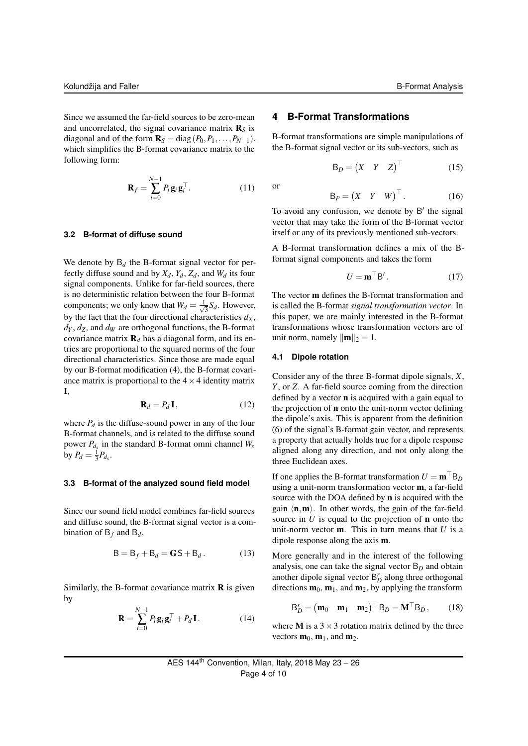Since we assumed the far-field sources to be zero-mean and uncorrelated, the signal covariance matrix  $\mathbf{R}_S$  is diagonal and of the form  $\mathbf{R}_S = \text{diag}(P_0, P_1, \ldots, P_{N-1}),$ which simplifies the B-format covariance matrix to the following form:

$$
\mathbf{R}_f = \sum_{i=0}^{N-1} P_i \mathbf{g}_i \mathbf{g}_i^\top.
$$
 (11)

# **3.2 B-format of diffuse sound**

We denote by  $B_d$  the B-format signal vector for perfectly diffuse sound and by  $X_d$ ,  $Y_d$ ,  $Z_d$ , and  $W_d$  its four signal components. Unlike for far-field sources, there is no deterministic relation between the four B-format components; we only know that  $W_d = \frac{1}{\sqrt{2}}$  $\frac{1}{3}S_d$ . However, by the fact that the four directional characteristics  $d_X$ ,  $d<sub>Y</sub>$ ,  $d<sub>Z</sub>$ , and  $d<sub>W</sub>$  are orthogonal functions, the B-format covariance matrix  $\mathbf{R}_{d}$  has a diagonal form, and its entries are proportional to the squared norms of the four directional characteristics. Since those are made equal by our B-format modification (4), the B-format covariance matrix is proportional to the  $4 \times 4$  identity matrix I,

$$
\mathbf{R}_d = P_d \mathbf{I},\tag{12}
$$

where  $P_d$  is the diffuse-sound power in any of the four B-format channels, and is related to the diffuse sound power *Pd<sup>s</sup>* in the standard B-format omni channel *W<sup>s</sup>* by  $P_d = \frac{1}{3} P_{d_s}$ .

# **3.3 B-format of the analyzed sound field model**

Since our sound field model combines far-field sources and diffuse sound, the B-format signal vector is a combination of  $B_f$  and  $B_d$ ,

$$
\mathsf{B} = \mathsf{B}_f + \mathsf{B}_d = \mathsf{G}\,\mathsf{S} + \mathsf{B}_d. \tag{13}
$$

Similarly, the B-format covariance matrix  **is given** by

$$
\mathbf{R} = \sum_{i=0}^{N-1} P_i \mathbf{g}_i \mathbf{g}_i^\top + P_d \mathbf{I}.
$$
 (14)

# **4 B-Format Transformations**

B-format transformations are simple manipulations of the B-format signal vector or its sub-vectors, such as

$$
\mathsf{B}_D = \begin{pmatrix} X & Y & Z \end{pmatrix}^\top \tag{15}
$$

or

$$
\mathsf{B}_P = \begin{pmatrix} X & Y & W \end{pmatrix}^\top. \tag{16}
$$

To avoid any confusion, we denote by B' the signal vector that may take the form of the B-format vector itself or any of its previously mentioned sub-vectors.

A B-format transformation defines a mix of the Bformat signal components and takes the form

$$
U = \mathbf{m}^\top \mathbf{B}'.
$$
 (17)

The vector m defines the B-format transformation and is called the B-format *signal transformation vector*. In this paper, we are mainly interested in the B-format transformations whose transformation vectors are of unit norm, namely  $\|\mathbf{m}\|_2 = 1$ .

# **4.1 Dipole rotation**

Consider any of the three B-format dipole signals, *X*, *Y*, or *Z*. A far-field source coming from the direction defined by a vector n is acquired with a gain equal to the projection of n onto the unit-norm vector defining the dipole's axis. This is apparent from the definition (6) of the signal's B-format gain vector, and represents a property that actually holds true for a dipole response aligned along any direction, and not only along the three Euclidean axes.

If one applies the B-format transformation  $U = m^{\top}B_D$ using a unit-norm transformation vector m, a far-field source with the DOA defined by n is acquired with the gain  $\langle \mathbf{n},\mathbf{m}\rangle$ . In other words, the gain of the far-field source in  $U$  is equal to the projection of **n** onto the unit-norm vector m. This in turn means that *U* is a dipole response along the axis m.

More generally and in the interest of the following analysis, one can take the signal vector B*<sup>D</sup>* and obtain another dipole signal vector  $B_D^r$  along three orthogonal directions  $\mathbf{m}_0$ ,  $\mathbf{m}_1$ , and  $\mathbf{m}_2$ , by applying the transform

$$
\mathsf{B}_{D}^{\prime} = \begin{pmatrix} \mathbf{m}_{0} & \mathbf{m}_{1} & \mathbf{m}_{2} \end{pmatrix}^{\top} \mathsf{B}_{D} = \mathbf{M}^{\top} \mathsf{B}_{D}, \qquad (18)
$$

where **M** is a  $3 \times 3$  rotation matrix defined by the three vectors  $\mathbf{m}_0$ ,  $\mathbf{m}_1$ , and  $\mathbf{m}_2$ .

AES 144<sup>th</sup> Convention, Milan, Italy, 2018 May 
$$
23 - 26
$$

\nPage 4 of 10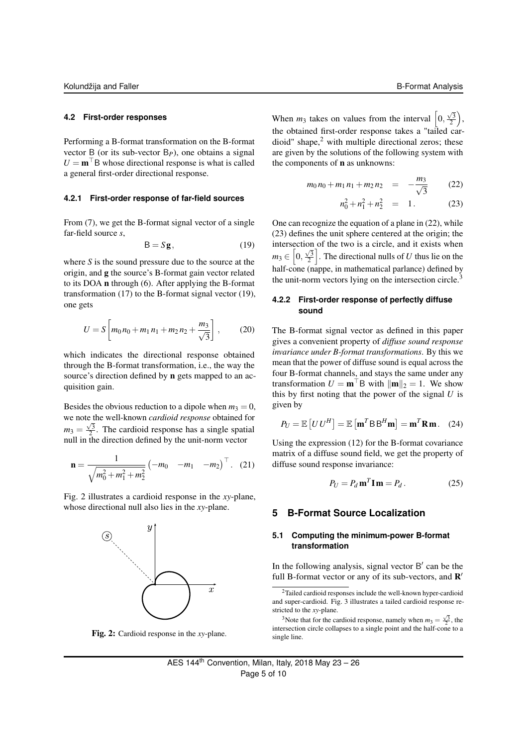# **4.2 First-order responses**

Performing a B-format transformation on the B-format vector B (or its sub-vector B*P*), one obtains a signal  $U = m<sup>T</sup>B$  whose directional response is what is called a general first-order directional response.

# **4.2.1 First-order response of far-field sources**

From (7), we get the B-format signal vector of a single far-field source *s*,

$$
B = Sg, \t(19)
$$

where *S* is the sound pressure due to the source at the origin, and g the source's B-format gain vector related to its DOA n through (6). After applying the B-format transformation (17) to the B-format signal vector (19), one gets

$$
U = S \left[ m_0 n_0 + m_1 n_1 + m_2 n_2 + \frac{m_3}{\sqrt{3}} \right],
$$
 (20)

which indicates the directional response obtained through the B-format transformation, i.e., the way the source's direction defined by n gets mapped to an acquisition gain.

Besides the obvious reduction to a dipole when  $m_3 = 0$ , we note the well-known *cardioid response* obtained for √  $m_3 = \frac{\sqrt{3}}{2}$ . The cardioid response has a single spatial null in the direction defined by the unit-norm vector

$$
\mathbf{n} = \frac{1}{\sqrt{m_0^2 + m_1^2 + m_2^2}} \begin{pmatrix} -m_0 & -m_1 & -m_2 \end{pmatrix}^\top. (21)
$$

Fig. 2 illustrates a cardioid response in the *xy*-plane, whose directional null also lies in the *xy*-plane.



Fig. 2: Cardioid response in the *xy*-plane.

When  $m_3$  takes on values from the interval  $\begin{bmatrix} 0, \end{bmatrix}$  $\frac{\sqrt{3}}{2}$ , the obtained first-order response takes a "tailed car $dioid$ " shape, $2$  with multiple directional zeros; these are given by the solutions of the following system with the components of n as unknowns:

$$
m_0 n_0 + m_1 n_1 + m_2 n_2 = -\frac{m_3}{\sqrt{3}} \qquad (22)
$$

$$
n_0^2 + n_1^2 + n_2^2 = 1. \t(23)
$$

One can recognize the equation of a plane in (22), while (23) defines the unit sphere centered at the origin; the intersection of the two is a circle, and it exists when  $m_3 \in \left[0, \frac{\sqrt{3}}{2}\right]$ . The directional nulls of *U* thus lie on the half-cone (nappe, in mathematical parlance) defined by the unit-norm vectors lying on the intersection circle.<sup>3</sup>

# **4.2.2 First-order response of perfectly diffuse sound**

The B-format signal vector as defined in this paper gives a convenient property of *diffuse sound response invariance under B-format transformations*. By this we mean that the power of diffuse sound is equal across the four B-format channels, and stays the same under any transformation  $U = m^{\top}B$  with  $\|\mathbf{m}\|_2 = 1$ . We show this by first noting that the power of the signal *U* is given by

$$
P_U = \mathbb{E}\left[U U^H\right] = \mathbb{E}\left[\mathbf{m}^T \mathbf{B} \mathbf{B}^H \mathbf{m}\right] = \mathbf{m}^T \mathbf{R} \mathbf{m}. \quad (24)
$$

Using the expression (12) for the B-format covariance matrix of a diffuse sound field, we get the property of diffuse sound response invariance:

$$
P_U = P_d \mathbf{m}^T \mathbf{I} \mathbf{m} = P_d. \tag{25}
$$

# **5 B-Format Source Localization**

# **5.1 Computing the minimum-power B-format transformation**

In the following analysis, signal vector  $B'$  can be the full B-format vector or any of its sub-vectors, and  $\mathbb{R}^7$ 

<sup>2</sup>Tailed cardioid responses include the well-known hyper-cardioid and super-cardioid. Fig. 3 illustrates a tailed cardioid response restricted to the *xy*-plane.

<sup>3</sup>Note that for the cardioid response, namely when  $m_3 = \frac{\sqrt{3}}{2}$ , the intersection circle collapses to a single point and the half-cone to a single line.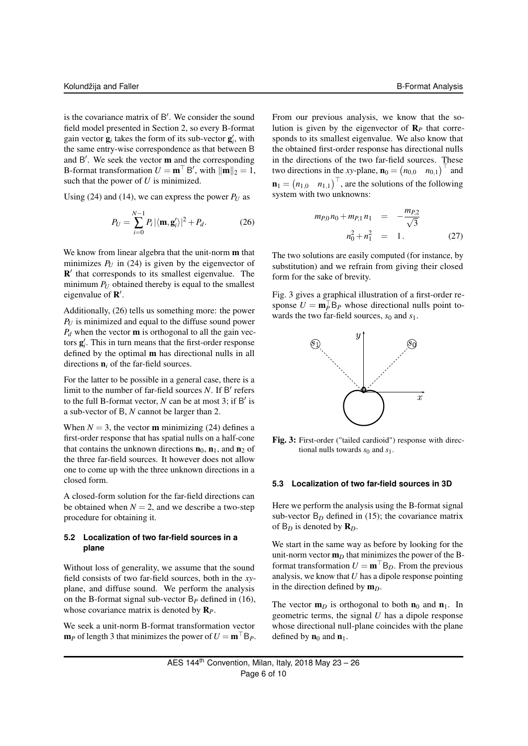is the covariance matrix of B'. We consider the sound field model presented in Section 2, so every B-format gain vector  $\mathbf{g}_i$  takes the form of its sub-vector  $\mathbf{g}'_i$ , with the same entry-wise correspondence as that between B and  $B'$ . We seek the vector  $m$  and the corresponding B-format transformation  $U = \mathbf{m}^\top B'$ , with  $\|\mathbf{m}\|_2 = 1$ , such that the power of *U* is minimized.

Using (24) and (14), we can express the power  $P_U$  as

$$
P_U = \sum_{i=0}^{N-1} P_i |\langle \mathbf{m}, \mathbf{g}'_i \rangle|^2 + P_d.
$$
 (26)

We know from linear algebra that the unit-norm **m** that minimizes  $P_U$  in (24) is given by the eigenvector of  $\mathbb{R}'$  that corresponds to its smallest eigenvalue. The minimum  $P_U$  obtained thereby is equal to the smallest eigenvalue of  $\mathbf{R}'$ .

Additionally, (26) tells us something more: the power *P<sup>U</sup>* is minimized and equal to the diffuse sound power  $P_d$  when the vector **m** is orthogonal to all the gain vectors  $g_i'$ . This in turn means that the first-order response defined by the optimal m has directional nulls in all directions  $\mathbf{n}_i$  of the far-field sources.

For the latter to be possible in a general case, there is a limit to the number of far-field sources N. If B' refers to the full B-format vector,  $N$  can be at most 3; if  $B'$  is a sub-vector of B, *N* cannot be larger than 2.

When  $N = 3$ , the vector **m** minimizing (24) defines a first-order response that has spatial nulls on a half-cone that contains the unknown directions  $\mathbf{n}_0$ ,  $\mathbf{n}_1$ , and  $\mathbf{n}_2$  of the three far-field sources. It however does not allow one to come up with the three unknown directions in a closed form.

A closed-form solution for the far-field directions can be obtained when  $N = 2$ , and we describe a two-step procedure for obtaining it.

# **5.2 Localization of two far-field sources in a plane**

Without loss of generality, we assume that the sound field consists of two far-field sources, both in the *xy*plane, and diffuse sound. We perform the analysis on the B-format signal sub-vector B*<sup>P</sup>* defined in (16), whose covariance matrix is denoted by R*P*.

We seek a unit-norm B-format transformation vector  $m_P$  of length 3 that minimizes the power of  $U = m<sup>T</sup> B_P$ .

From our previous analysis, we know that the solution is given by the eigenvector of  $\mathbf{R}_P$  that corresponds to its smallest eigenvalue. We also know that the obtained first-order response has directional nulls in the directions of the two far-field sources. These two directions in the *xy*-plane,  $\mathbf{n}_0 = (n_{0,0} \quad n_{0,1})^\top$  and  $\mathbf{n}_1 = (n_{1,0} \quad n_{1,1})^\top$ , are the solutions of the following system with two unknowns:

$$
m_{P,0}n_0 + m_{P,1}n_1 = -\frac{m_{P,2}}{\sqrt{3}}
$$
  

$$
n_0^2 + n_1^2 = 1.
$$
 (27)

The two solutions are easily computed (for instance, by substitution) and we refrain from giving their closed form for the sake of brevity.

Fig. 3 gives a graphical illustration of a first-order response  $U = \mathbf{m}_P^{\top} \mathbf{B}_P$  whose directional nulls point towards the two far-field sources,  $s_0$  and  $s_1$ .



Fig. 3: First-order ("tailed cardioid") response with directional nulls towards  $s_0$  and  $s_1$ .

# **5.3 Localization of two far-field sources in 3D**

Here we perform the analysis using the B-format signal sub-vector  $B_D$  defined in (15); the covariance matrix of  $B_D$  is denoted by  $\mathbf{R}_D$ .

We start in the same way as before by looking for the unit-norm vector  $\mathbf{m}_D$  that minimizes the power of the Bformat transformation  $U = \mathbf{m}^\top B_D$ . From the previous analysis, we know that *U* has a dipole response pointing in the direction defined by  $\mathbf{m}_D$ .

The vector  $\mathbf{m}_D$  is orthogonal to both  $\mathbf{n}_0$  and  $\mathbf{n}_1$ . In geometric terms, the signal *U* has a dipole response whose directional null-plane coincides with the plane defined by  $\mathbf{n}_0$  and  $\mathbf{n}_1$ .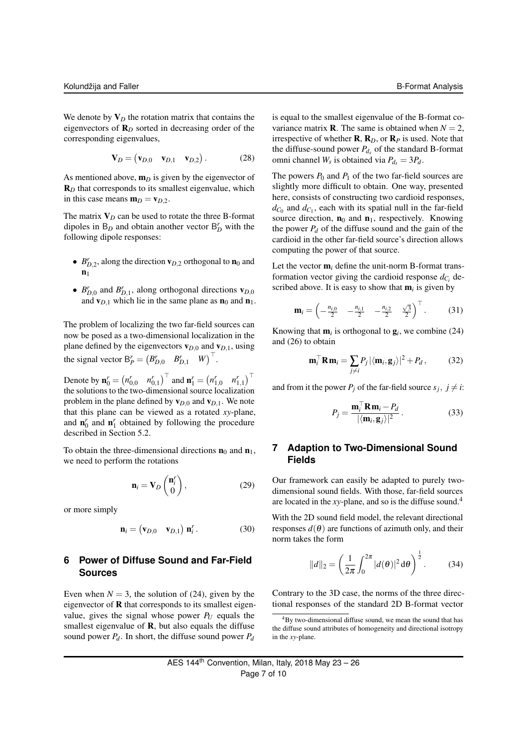We denote by  $V_D$  the rotation matrix that contains the eigenvectors of R*<sup>D</sup>* sorted in decreasing order of the corresponding eigenvalues,

$$
\mathbf{V}_D = (\mathbf{v}_{D,0} \quad \mathbf{v}_{D,1} \quad \mathbf{v}_{D,2}). \tag{28}
$$

As mentioned above,  $\mathbf{m}_D$  is given by the eigenvector of R<sub>D</sub> that corresponds to its smallest eigenvalue, which in this case means  $m_D = v_{D,2}$ .

The matrix  $V_D$  can be used to rotate the three B-format dipoles in  $B_D$  and obtain another vector  $B_D^r$  with the following dipole responses:

- $B_{D,2}^r$ , along the direction  $\mathbf{v}_{D,2}$  orthogonal to  $\mathbf{n}_0$  and  $n_1$
- $B_{D,0}^r$  and  $B_{D,1}^r$ , along orthogonal directions  $\mathbf{v}_{D,0}$ and  $\mathbf{v}_{D,1}$  which lie in the same plane as  $\mathbf{n}_0$  and  $\mathbf{n}_1$ .

The problem of localizing the two far-field sources can now be posed as a two-dimensional localization in the plane defined by the eigenvectors  $\mathbf{v}_{D,0}$  and  $\mathbf{v}_{D,1}$ , using the signal vector  $B_P^r = (B_{D,0}^r \quad B_{D,1}^r \quad W)^{\top}$ .

Denote by  $\mathbf{n}_0^r = (n_{0,0}^r \quad n_{0,1}^r)^\top$  and  $\mathbf{n}_1^r = (n_{1,0}^r \quad n_{1,1}^r)^\top$ the solutions to the two-dimensional source localization problem in the plane defined by  $\mathbf{v}_{D,0}$  and  $\mathbf{v}_{D,1}$ . We note that this plane can be viewed as a rotated *xy*-plane, and  $\mathbf{n}'_0$  and  $\mathbf{n}'_1$  obtained by following the procedure described in Section 5.2.

To obtain the three-dimensional directions  $\mathbf{n}_0$  and  $\mathbf{n}_1$ , we need to perform the rotations

$$
\mathbf{n}_{i} = \mathbf{V}_{D} \begin{pmatrix} \mathbf{n}_{i}^{r} \\ 0 \end{pmatrix}, \qquad (29)
$$

or more simply

$$
\mathbf{n}_i = \begin{pmatrix} \mathbf{v}_{D,0} & \mathbf{v}_{D,1} \end{pmatrix} \mathbf{n}_i^r. \tag{30}
$$

# **6 Power of Diffuse Sound and Far-Field Sources**

Even when  $N = 3$ , the solution of (24), given by the eigenvector of R that corresponds to its smallest eigenvalue, gives the signal whose power  $P_U$  equals the smallest eigenvalue of **, but also equals the diffuse** sound power  $P_d$ . In short, the diffuse sound power  $P_d$ 

is equal to the smallest eigenvalue of the B-format covariance matrix **R**. The same is obtained when  $N = 2$ , irrespective of whether  $\mathbf{R}, \mathbf{R}_D$ , or  $\mathbf{R}_P$  is used. Note that the diffuse-sound power  $P_{d_s}$  of the standard B-format omni channel  $W_s$  is obtained via  $P_{d_s} = 3P_d$ .

The powers  $P_0$  and  $P_1$  of the two far-field sources are slightly more difficult to obtain. One way, presented here, consists of constructing two cardioid responses,  $d_{C_0}$  and  $d_{C_1}$ , each with its spatial null in the far-field source direction,  $n_0$  and  $n_1$ , respectively. Knowing the power  $P_d$  of the diffuse sound and the gain of the cardioid in the other far-field source's direction allows computing the power of that source.

Let the vector  $\mathbf{m}_i$  define the unit-norm B-format transformation vector giving the cardioid response  $d_{C_i}$  described above. It is easy to show that  $\mathbf{m}_i$  is given by

$$
\mathbf{m}_{i} = \begin{pmatrix} -\frac{n_{i,0}}{2} & -\frac{n_{i,1}}{2} & -\frac{n_{i,2}}{2} & \frac{\sqrt{3}}{2} \end{pmatrix}^{\top}.
$$
 (31)

Knowing that  $\mathbf{m}_i$  is orthogonal to  $\mathbf{g}_i$ , we combine (24) and (26) to obtain

$$
\mathbf{m}_i^\top \mathbf{R} \mathbf{m}_i = \sum_{j \neq i} P_j |\langle \mathbf{m}_i, \mathbf{g}_j \rangle|^2 + P_d, \qquad (32)
$$

and from it the power  $P_j$  of the far-field source  $s_j$ ,  $j \neq i$ :

$$
P_j = \frac{\mathbf{m}_i^\top \mathbf{R} \mathbf{m}_i - P_d}{|\langle \mathbf{m}_i, \mathbf{g}_j \rangle|^2}.
$$
 (33)

# **7 Adaption to Two-Dimensional Sound Fields**

Our framework can easily be adapted to purely twodimensional sound fields. With those, far-field sources are located in the *xy*-plane, and so is the diffuse sound.<sup>4</sup>

With the 2D sound field model, the relevant directional responses  $d(\theta)$  are functions of azimuth only, and their norm takes the form

$$
||d||_2 = \left(\frac{1}{2\pi} \int_0^{2\pi} |d(\theta)|^2 d\theta\right)^{\frac{1}{2}}.
$$
 (34)

Contrary to the 3D case, the norms of the three directional responses of the standard 2D B-format vector

<sup>4</sup>By two-dimensional diffuse sound, we mean the sound that has the diffuse sound attributes of homogeneity and directional isotropy in the *xy*-plane.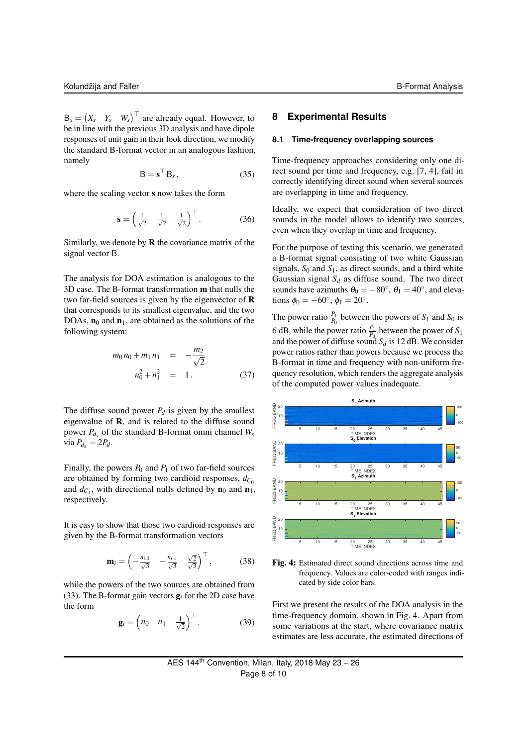$B_s = \begin{pmatrix} X_s & Y_s & W_s \end{pmatrix}^\top$  are already equal. However, to be in line with the previous 3D analysis and have dipole responses of unit gain in their look direction, we modify the standard B-format vector in an analogous fashion, namely

$$
\mathsf{B} = \mathbf{s}^\top \mathsf{B}_s,\tag{35}
$$

where the scaling vector s now takes the form

$$
\mathbf{s} = \begin{pmatrix} \frac{1}{\sqrt{2}} & \frac{1}{\sqrt{2}} & \frac{1}{\sqrt{2}} \end{pmatrix}^\top. \tag{36}
$$

Similarly, we denote by  **the covariance matrix of the** signal vector B.

The analysis for DOA estimation is analogous to the 3D case. The B-format transformation m that nulls the two far-field sources is given by the eigenvector of R that corresponds to its smallest eigenvalue, and the two DOAs,  $n_0$  and  $n_1$ , are obtained as the solutions of the following system:

$$
m_0 n_0 + m_1 n_1 = -\frac{m_2}{\sqrt{2}}
$$
  

$$
n_0^2 + n_1^2 = 1.
$$
 (37)

The diffuse sound power  $P_d$  is given by the smallest eigenvalue of R, and is related to the diffuse sound power *Pd<sup>s</sup>* of the standard B-format omni channel *W<sup>s</sup>* via  $P_{d_s} = 2P_d$ .

Finally, the powers  $P_0$  and  $P_1$  of two far-field sources are obtained by forming two cardioid responses,  $d_{C_0}$ and  $d_{C_1}$ , with directional nulls defined by  $\mathbf{n}_0$  and  $\mathbf{n}_1$ , respectively.

It is easy to show that those two cardioid responses are given by the B-format transformation vectors

$$
\mathbf{m}_{i} = \begin{pmatrix} -\frac{n_{i,0}}{\sqrt{3}} & -\frac{n_{i,1}}{\sqrt{3}} & \frac{\sqrt{2}}{\sqrt{3}} \end{pmatrix}^{\top}, \quad (38)
$$

while the powers of the two sources are obtained from (33). The B-format gain vectors g*<sup>i</sup>* for the 2D case have the form

$$
\mathbf{g}_i = \begin{pmatrix} n_0 & n_1 & \frac{1}{\sqrt{2}} \end{pmatrix}^\top. \tag{39}
$$

# **8 Experimental Results**

# **8.1 Time-frequency overlapping sources**

Time-frequency approaches considering only one direct sound per time and frequency, e.g. [7, 4], fail in correctly identifying direct sound when several sources are overlapping in time and frequency.

Ideally, we expect that consideration of two direct sounds in the model allows to identify two sources, even when they overlap in time and frequency.

For the purpose of testing this scenario, we generated a B-format signal consisting of two white Gaussian signals,  $S_0$  and  $S_1$ , as direct sounds, and a third white Gaussian signal  $S_d$  as diffuse sound. The two direct sounds have azimuths  $\theta_0 = -80^\circ$ ,  $\theta_1 = 40^\circ$ , and elevations  $\phi_0 = -60^\circ, \phi_1 = 20^\circ$ .

The power ratio  $\frac{P_1}{P_0}$  between the powers of  $S_1$  and  $S_0$  is 6 dB, while the power ratio  $\frac{P_1}{P_d}$  between the power of  $S_1$ and the power of diffuse sound  $S_d$  is 12 dB. We consider power ratios rather than powers because we process the B-format in time and frequency with non-uniform frequency resolution, which renders the aggregate analysis of the computed power values inadequate.





First we present the results of the DOA analysis in the time-frequency domain, shown in Fig. 4. Apart from some variations at the start, where covariance matrix estimates are less accurate, the estimated directions of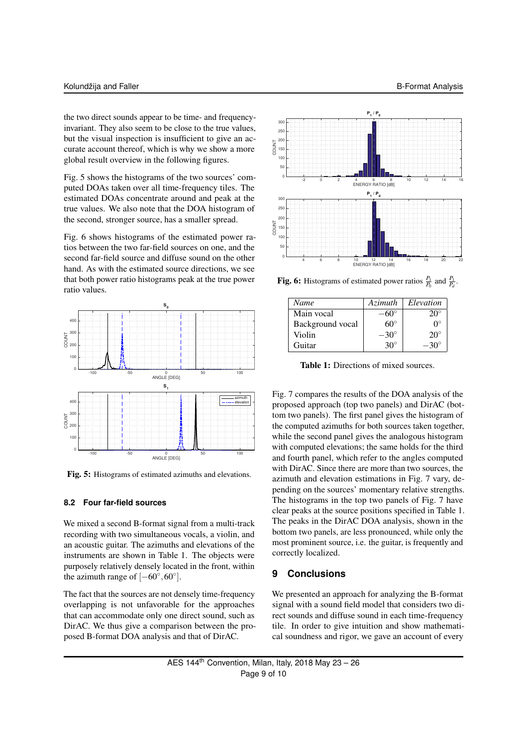the two direct sounds appear to be time- and frequencyinvariant. They also seem to be close to the true values, but the visual inspection is insufficient to give an accurate account thereof, which is why we show a more global result overview in the following figures.

Fig. 5 shows the histograms of the two sources' computed DOAs taken over all time-frequency tiles. The estimated DOAs concentrate around and peak at the true values. We also note that the DOA histogram of the second, stronger source, has a smaller spread.

Fig. 6 shows histograms of the estimated power ratios between the two far-field sources on one, and the second far-field source and diffuse sound on the other hand. As with the estimated source directions, we see that both power ratio histograms peak at the true power ratio values.



Fig. 5: Histograms of estimated azimuths and elevations.

# **8.2 Four far-field sources**

We mixed a second B-format signal from a multi-track recording with two simultaneous vocals, a violin, and an acoustic guitar. The azimuths and elevations of the instruments are shown in Table 1. The objects were purposely relatively densely located in the front, within the azimuth range of  $[-60^{\circ}, 60^{\circ}]$ .

The fact that the sources are not densely time-frequency overlapping is not unfavorable for the approaches that can accommodate only one direct sound, such as DirAC. We thus give a comparison between the proposed B-format DOA analysis and that of DirAC.



**Fig. 6:** Histograms of estimated power ratios  $\frac{P_1}{P_0}$  and  $\frac{P_1}{P_d}$ .

| Name             | Azimuth     | Elevation    |
|------------------|-------------|--------------|
| Main vocal       |             | $20^{\circ}$ |
| Background vocal | 60°         | ∩°           |
| Violin           | $-30^\circ$ | $20^{\circ}$ |
| Guitar           | $30^\circ$  | −3∩°         |

Table 1: Directions of mixed sources.

Fig. 7 compares the results of the DOA analysis of the proposed approach (top two panels) and DirAC (bottom two panels). The first panel gives the histogram of the computed azimuths for both sources taken together, while the second panel gives the analogous histogram with computed elevations; the same holds for the third and fourth panel, which refer to the angles computed with DirAC. Since there are more than two sources, the azimuth and elevation estimations in Fig. 7 vary, depending on the sources' momentary relative strengths. The histograms in the top two panels of Fig. 7 have clear peaks at the source positions specified in Table 1. The peaks in the DirAC DOA analysis, shown in the bottom two panels, are less pronounced, while only the most prominent source, i.e. the guitar, is frequently and correctly localized.

# **9 Conclusions**

We presented an approach for analyzing the B-format signal with a sound field model that considers two direct sounds and diffuse sound in each time-frequency tile. In order to give intuition and show mathematical soundness and rigor, we gave an account of every